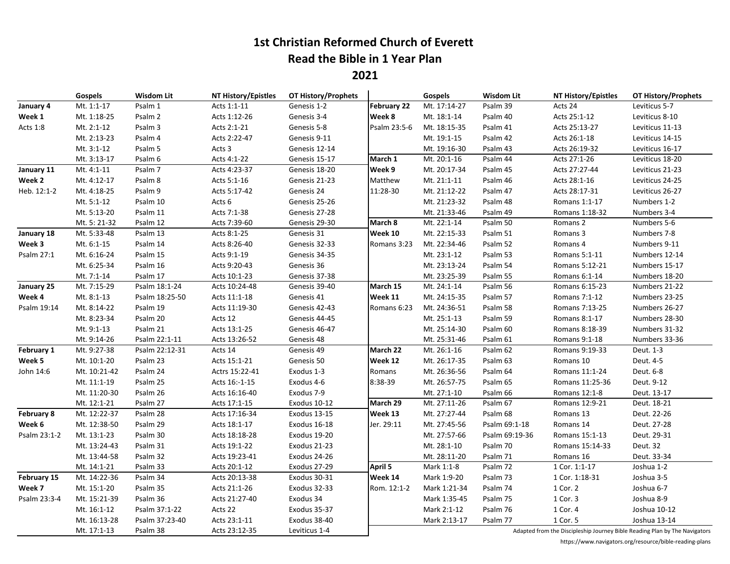## **1st Christian Reformed Church of Everett Read the Bible in 1 Year Plan**

**2021**

|              | Gospels      | <b>Wisdom Lit</b>  | NT History/Epistles | <b>OT History/Prophets</b> |                    | Gospels      | <b>Wisdom Lit</b> | <b>NT History/Epistles</b> | OT History/Prophets                                                        |
|--------------|--------------|--------------------|---------------------|----------------------------|--------------------|--------------|-------------------|----------------------------|----------------------------------------------------------------------------|
| January 4    | Mt. 1:1-17   | Psalm 1            | Acts 1:1-11         | Genesis 1-2                | <b>February 22</b> | Mt. 17:14-27 | Psalm 39          | Acts 24                    | Leviticus 5-7                                                              |
| Week 1       | Mt. 1:18-25  | Psalm <sub>2</sub> | Acts 1:12-26        | Genesis 3-4                | Week 8             | Mt. 18:1-14  | Psalm 40          | Acts 25:1-12               | Leviticus 8-10                                                             |
| Acts 1:8     | Mt. 2:1-12   | Psalm 3            | Acts 2:1-21         | Genesis 5-8                | Psalm 23:5-6       | Mt. 18:15-35 | Psalm 41          | Acts 25:13-27              | Leviticus 11-13                                                            |
|              | Mt. 2:13-23  | Psalm 4            | Acts 2:22-47        | Genesis 9-11               |                    | Mt. 19:1-15  | Psalm 42          | Acts 26:1-18               | Leviticus 14-15                                                            |
|              | Mt. 3:1-12   | Psalm 5            | Acts 3              | Genesis 12-14              |                    | Mt. 19:16-30 | Psalm 43          | Acts 26:19-32              | Leviticus 16-17                                                            |
|              | Mt. 3:13-17  | Psalm 6            | Acts 4:1-22         | Genesis 15-17              | March 1            | Mt. 20:1-16  | Psalm 44          | Acts 27:1-26               | Leviticus 18-20                                                            |
| January 11   | Mt. 4:1-11   | Psalm 7            | Acts 4:23-37        | Genesis 18-20              | Week 9             | Mt. 20:17-34 | Psalm 45          | Acts 27:27-44              | Leviticus 21-23                                                            |
| Week 2       | Mt. 4:12-17  | Psalm 8            | Acts 5:1-16         | Genesis 21-23              | Matthew            | Mt. 21:1-11  | Psalm 46          | Acts 28:1-16               | Leviticus 24-25                                                            |
| Heb. 12:1-2  | Mt. 4:18-25  | Psalm 9            | Acts 5:17-42        | Genesis 24                 | 11:28-30           | Mt. 21:12-22 | Psalm 47          | Acts 28:17-31              | Leviticus 26-27                                                            |
|              | Mt. 5:1-12   | Psalm 10           | Acts 6              | Genesis 25-26              |                    | Mt. 21:23-32 | Psalm 48          | Romans 1:1-17              | Numbers 1-2                                                                |
|              | Mt. 5:13-20  | Psalm 11           | Acts 7:1-38         | Genesis 27-28              |                    | Mt. 21:33-46 | Psalm 49          | Romans 1:18-32             | Numbers 3-4                                                                |
|              | Mt. 5: 21-32 | Psalm 12           | Acts 7:39-60        | Genesis 29-30              | March 8            | Mt. 22:1-14  | Psalm 50          | Romans 2                   | Numbers 5-6                                                                |
| January 18   | Mt. 5:33-48  | Psalm 13           | Acts 8:1-25         | Genesis 31                 | Week 10            | Mt. 22:15-33 | Psalm 51          | Romans 3                   | Numbers 7-8                                                                |
| Week 3       | Mt. 6:1-15   | Psalm 14           | Acts 8:26-40        | Genesis 32-33              | Romans 3:23        | Mt. 22:34-46 | Psalm 52          | Romans 4                   | Numbers 9-11                                                               |
| Psalm 27:1   | Mt. 6:16-24  | Psalm 15           | Acts 9:1-19         | Genesis 34-35              |                    | Mt. 23:1-12  | Psalm 53          | Romans 5:1-11              | Numbers 12-14                                                              |
|              | Mt. 6:25-34  | Psalm 16           | Acts 9:20-43        | Genesis 36                 |                    | Mt. 23:13-24 | Psalm 54          | Romans 5:12-21             | Numbers 15-17                                                              |
|              | Mt. 7:1-14   | Psalm 17           | Acts 10:1-23        | Genesis 37-38              |                    | Mt. 23:25-39 | Psalm 55          | Romans 6:1-14              | Numbers 18-20                                                              |
| January 25   | Mt. 7:15-29  | Psalm 18:1-24      | Acts 10:24-48       | Genesis 39-40              | March 15           | Mt. 24:1-14  | Psalm 56          | Romans 6:15-23             | Numbers 21-22                                                              |
| Week 4       | Mt. 8:1-13   | Psalm 18:25-50     | Acts 11:1-18        | Genesis 41                 | Week 11            | Mt. 24:15-35 | Psalm 57          | Romans 7:1-12              | Numbers 23-25                                                              |
| Psalm 19:14  | Mt. 8:14-22  | Psalm 19           | Acts 11:19-30       | Genesis 42-43              | Romans 6:23        | Mt. 24:36-51 | Psalm 58          | Romans 7:13-25             | Numbers 26-27                                                              |
|              | Mt. 8:23-34  | Psalm 20           | Acts 12             | Genesis 44-45              |                    | Mt. 25:1-13  | Psalm 59          | Romans 8:1-17              | Numbers 28-30                                                              |
|              | Mt. 9:1-13   | Psalm 21           | Acts 13:1-25        | Genesis 46-47              |                    | Mt. 25:14-30 | Psalm 60          | Romans 8:18-39             | Numbers 31-32                                                              |
|              | Mt. 9:14-26  | Psalm 22:1-11      | Acts 13:26-52       | Genesis 48                 |                    | Mt. 25:31-46 | Psalm 61          | Romans 9:1-18              | Numbers 33-36                                                              |
| February 1   | Mt. 9:27-38  | Psalm 22:12-31     | Acts 14             | Genesis 49                 | March 22           | Mt. 26:1-16  | Psalm 62          | Romans 9:19-33             | Deut. 1-3                                                                  |
| Week 5       | Mt. 10:1-20  | Psalm 23           | Acts 15:1-21        | Genesis 50                 | Week 12            | Mt. 26:17-35 | Psalm 63          | Romans 10                  | Deut. 4-5                                                                  |
| John 14:6    | Mt. 10:21-42 | Psalm 24           | Actrs 15:22-41      | Exodus 1-3                 | Romans             | Mt. 26:36-56 | Psalm 64          | Romans 11:1-24             | Deut. 6-8                                                                  |
|              | Mt. 11:1-19  | Psalm 25           | Acts 16:-1-15       | Exodus 4-6                 | 8:38-39            | Mt. 26:57-75 | Psalm 65          | Romans 11:25-36            | Deut. 9-12                                                                 |
|              | Mt. 11:20-30 | Psalm 26           | Acts 16:16-40       | Exodus 7-9                 |                    | Mt. 27:1-10  | Psalm 66          | Romans 12:1-8              | Deut. 13-17                                                                |
|              | Mt. 12:1-21  | Psalm 27           | Acts 17:1-15        | Exodus 10-12               | March 29           | Mt. 27:11-26 | Psalm 67          | Romans 12:9-21             | Deut. 18-21                                                                |
| February 8   | Mt. 12:22-37 | Psalm 28           | Acts 17:16-34       | Exodus 13-15               | Week 13            | Mt. 27:27-44 | Psalm 68          | Romans 13                  | Deut. 22-26                                                                |
| Week 6       | Mt. 12:38-50 | Psalm 29           | Acts 18:1-17        | Exodus 16-18               | Jer. 29:11         | Mt. 27:45-56 | Psalm 69:1-18     | Romans 14                  | Deut. 27-28                                                                |
| Psalm 23:1-2 | Mt. 13:1-23  | Psalm 30           | Acts 18:18-28       | Exodus 19-20               |                    | Mt. 27:57-66 | Psalm 69:19-36    | Romans 15:1-13             | Deut. 29-31                                                                |
|              | Mt. 13:24-43 | Psalm 31           | Acts 19:1-22        | Exodus 21-23               |                    | Mt. 28:1-10  | Psalm 70          | Romans 15:14-33            | Deut. 32                                                                   |
|              | Mt. 13:44-58 | Psalm 32           | Acts 19:23-41       | Exodus 24-26               |                    | Mt. 28:11-20 | Psalm 71          | Romans 16                  | Deut. 33-34                                                                |
|              | Mt. 14:1-21  | Psalm 33           | Acts 20:1-12        | Exodus 27-29               | April 5            | Mark 1:1-8   | Psalm 72          | 1 Cor. 1:1-17              | Joshua 1-2                                                                 |
| February 15  | Mt. 14:22-36 | Psalm 34           | Acts 20:13-38       | Exodus 30-31               | Week 14            | Mark 1:9-20  | Psalm 73          | 1 Cor. 1:18-31             | Joshua 3-5                                                                 |
| Week 7       | Mt. 15:1-20  | Psalm 35           | Acts 21:1-26        | Exodus 32-33               | Rom. 12:1-2        | Mark 1:21-34 | Psalm 74          | 1 Cor. 2                   | Joshua 6-7                                                                 |
| Psalm 23:3-4 | Mt. 15:21-39 | Psalm 36           | Acts 21:27-40       | Exodus 34                  |                    | Mark 1:35-45 | Psalm 75          | 1 Cor. 3                   | Joshua 8-9                                                                 |
|              | Mt. 16:1-12  | Psalm 37:1-22      | Acts 22             | Exodus 35-37               |                    | Mark 2:1-12  | Psalm 76          | 1 Cor. 4                   | Joshua 10-12                                                               |
|              | Mt. 16:13-28 | Psalm 37:23-40     | Acts 23:1-11        | Exodus 38-40               |                    | Mark 2:13-17 | Psalm 77          | 1 Cor. 5                   | Joshua 13-14                                                               |
|              | Mt. 17:1-13  | Psalm 38           | Acts 23:12-35       | Leviticus 1-4              |                    |              |                   |                            | Adapted from the Discipleship Journey Bible Reading Plan by The Navigators |

https://www.navigators.org/resource/bible-reading-plans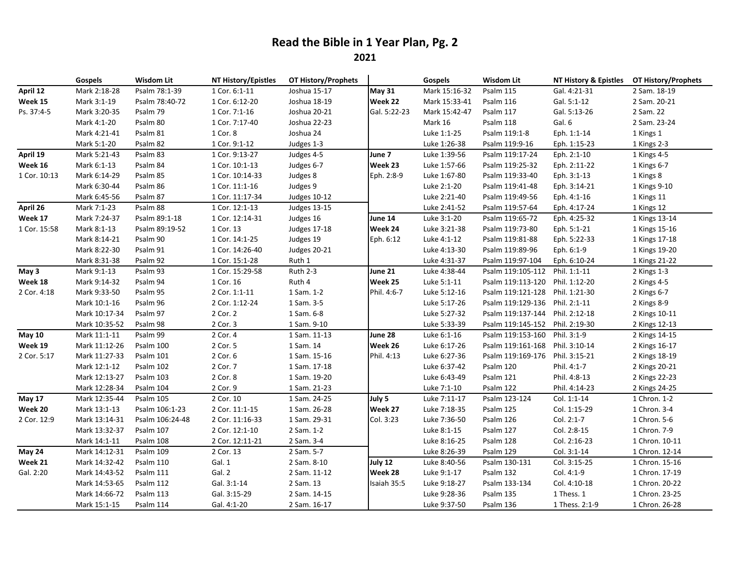## **Read the Bible in 1 Year Plan, Pg. 2**

**2021**

|               | Gospels       | <b>Wisdom Lit</b> | NT History/Epistles | <b>OT History/Prophets</b> |               | Gospels       | <b>Wisdom Lit</b>               | NT History & Epistles  OT History/Prophets |                |
|---------------|---------------|-------------------|---------------------|----------------------------|---------------|---------------|---------------------------------|--------------------------------------------|----------------|
| April 12      | Mark 2:18-28  | Psalm 78:1-39     | 1 Cor. 6:1-11       | Joshua 15-17               | <b>May 31</b> | Mark 15:16-32 | Psalm 115                       | Gal. 4:21-31                               | 2 Sam. 18-19   |
| Week 15       | Mark 3:1-19   | Psalm 78:40-72    | 1 Cor. 6:12-20      | Joshua 18-19               | Week 22       | Mark 15:33-41 | Psalm 116                       | Gal. 5:1-12                                | 2 Sam. 20-21   |
| Ps. 37:4-5    | Mark 3:20-35  | Psalm 79          | 1 Cor. 7:1-16       | Joshua 20-21               | Gal. 5:22-23  | Mark 15:42-47 | Psalm 117                       | Gal. 5:13-26                               | 2 Sam. 22      |
|               | Mark 4:1-20   | Psalm 80          | 1 Cor. 7:17-40      | Joshua 22-23               |               | Mark 16       | Psalm 118                       | Gal. 6                                     | 2 Sam. 23-24   |
|               | Mark 4:21-41  | Psalm 81          | 1 Cor. 8            | Joshua 24                  |               | Luke 1:1-25   | Psalm 119:1-8                   | Eph. 1:1-14                                | 1 Kings 1      |
|               | Mark 5:1-20   | Psalm 82          | 1 Cor. 9:1-12       | Judges 1-3                 |               | Luke 1:26-38  | Psalm 119:9-16                  | Eph. 1:15-23                               | 1 Kings 2-3    |
| April 19      | Mark 5:21-43  | Psalm 83          | 1 Cor. 9:13-27      | Judges 4-5                 | June 7        | Luke 1:39-56  | Psalm 119:17-24                 | Eph. 2:1-10                                | 1 Kings 4-5    |
| Week 16       | Mark 6:1-13   | Psalm 84          | 1 Cor. 10:1-13      | Judges 6-7                 | Week 23       | Luke 1:57-66  | Psalm 119:25-32                 | Eph. 2:11-22                               | 1 Kings 6-7    |
| 1 Cor. 10:13  | Mark 6:14-29  | Psalm 85          | 1 Cor. 10:14-33     | Judges 8                   | Eph. 2:8-9    | Luke 1:67-80  | Psalm 119:33-40                 | Eph. 3:1-13                                | 1 Kings 8      |
|               | Mark 6:30-44  | Psalm 86          | 1 Cor. 11:1-16      | Judges 9                   |               | Luke 2:1-20   | Psalm 119:41-48                 | Eph. 3:14-21                               | 1 Kings 9-10   |
|               | Mark 6:45-56  | Psalm 87          | 1 Cor. 11:17-34     | <b>Judges 10-12</b>        |               | Luke 2:21-40  | Psalm 119:49-56                 | Eph. 4:1-16                                | 1 Kings 11     |
| April 26      | Mark 7:1-23   | Psalm 88          | 1 Cor. 12:1-13      | <b>Judges 13-15</b>        |               | Luke 2:41-52  | Psalm 119:57-64                 | Eph. 4:17-24                               | 1 Kings 12     |
| Week 17       | Mark 7:24-37  | Psalm 89:1-18     | 1 Cor. 12:14-31     | Judges 16                  | June 14       | Luke 3:1-20   | Psalm 119:65-72                 | Eph. 4:25-32                               | 1 Kings 13-14  |
| 1 Cor. 15:58  | Mark 8:1-13   | Psalm 89:19-52    | 1 Cor. 13           | <b>Judges 17-18</b>        | Week 24       | Luke 3:21-38  | Psalm 119:73-80                 | Eph. 5:1-21                                | 1 Kings 15-16  |
|               | Mark 8:14-21  | Psalm 90          | 1 Cor. 14:1-25      | Judges 19                  | Eph. 6:12     | Luke 4:1-12   | Psalm 119:81-88                 | Eph. 5:22-33                               | 1 Kings 17-18  |
|               | Mark 8:22-30  | Psalm 91          | 1 Cor. 14:26-40     | <b>Judges 20-21</b>        |               | Luke 4:13-30  | Psalm 119:89-96                 | Eph. 6:1-9                                 | 1 Kings 19-20  |
|               | Mark 8:31-38  | Psalm 92          | 1 Cor. 15:1-28      | Ruth 1                     |               | Luke 4:31-37  | Psalm 119:97-104                | Eph. 6:10-24                               | 1 Kings 21-22  |
| May 3         | Mark 9:1-13   | Psalm 93          | 1 Cor. 15:29-58     | Ruth 2-3                   | June 21       | Luke 4:38-44  | Psalm 119:105-112               | Phil. 1:1-11                               | 2 Kings 1-3    |
| Week 18       | Mark 9:14-32  | Psalm 94          | 1 Cor. 16           | Ruth 4                     | Week 25       | Luke 5:1-11   | Psalm 119:113-120 Phil. 1:12-20 |                                            | 2 Kings 4-5    |
| 2 Cor. 4:18   | Mark 9:33-50  | Psalm 95          | 2 Cor. 1:1-11       | 1 Sam. 1-2                 | Phil. 4:6-7   | Luke 5:12-16  | Psalm 119:121-128 Phil. 1:21-30 |                                            | 2 Kings 6-7    |
|               | Mark 10:1-16  | Psalm 96          | 2 Cor. 1:12-24      | 1 Sam. 3-5                 |               | Luke 5:17-26  | Psalm 119:129-136 Phil. 2:1-11  |                                            | 2 Kings 8-9    |
|               | Mark 10:17-34 | Psalm 97          | 2 Cor. 2            | 1 Sam. 6-8                 |               | Luke 5:27-32  | Psalm 119:137-144 Phil. 2:12-18 |                                            | 2 Kings 10-11  |
|               | Mark 10:35-52 | Psalm 98          | 2 Cor. 3            | 1 Sam. 9-10                |               | Luke 5:33-39  | Psalm 119:145-152 Phil. 2:19-30 |                                            | 2 Kings 12-13  |
| <b>May 10</b> | Mark 11:1-11  | Psalm 99          | 2 Cor. 4            | 1 Sam. 11-13               | June 28       | Luke 6:1-16   | Psalm 119:153-160 Phil. 3:1-9   |                                            | 2 Kings 14-15  |
| Week 19       | Mark 11:12-26 | Psalm 100         | 2 Cor. 5            | 1 Sam. 14                  | Week 26       | Luke 6:17-26  | Psalm 119:161-168 Phil. 3:10-14 |                                            | 2 Kings 16-17  |
| 2 Cor. 5:17   | Mark 11:27-33 | Psalm 101         | 2 Cor. 6            | 1 Sam. 15-16               | Phil. 4:13    | Luke 6:27-36  | Psalm 119:169-176               | Phil. 3:15-21                              | 2 Kings 18-19  |
|               | Mark 12:1-12  | Psalm 102         | 2 Cor. 7            | 1 Sam. 17-18               |               | Luke 6:37-42  | Psalm 120                       | Phil. 4:1-7                                | 2 Kings 20-21  |
|               | Mark 12:13-27 | Psalm 103         | 2 Cor. 8            | 1 Sam. 19-20               |               | Luke 6:43-49  | Psalm 121                       | Phil. 4:8-13                               | 2 Kings 22-23  |
|               | Mark 12:28-34 | Psalm 104         | 2 Cor. 9            | 1 Sam. 21-23               |               | Luke 7:1-10   | Psalm 122                       | Phil. 4:14-23                              | 2 Kings 24-25  |
| <b>May 17</b> | Mark 12:35-44 | Psalm 105         | 2 Cor. 10           | 1 Sam. 24-25               | July 5        | Luke 7:11-17  | Psalm 123-124                   | Col. 1:1-14                                | 1 Chron. 1-2   |
| Week 20       | Mark 13:1-13  | Psalm 106:1-23    | 2 Cor. 11:1-15      | 1 Sam. 26-28               | Week 27       | Luke 7:18-35  | Psalm 125                       | Col. 1:15-29                               | 1 Chron. 3-4   |
| 2 Cor. 12:9   | Mark 13:14-31 | Psalm 106:24-48   | 2 Cor. 11:16-33     | 1 Sam. 29-31               | Col. 3:23     | Luke 7:36-50  | Psalm 126                       | Col. 2:1-7                                 | 1 Chron. 5-6   |
|               | Mark 13:32-37 | Psalm 107         | 2 Cor. 12:1-10      | 2 Sam. 1-2                 |               | Luke 8:1-15   | Psalm 127                       | Col. 2:8-15                                | 1 Chron. 7-9   |
|               | Mark 14:1-11  | Psalm 108         | 2 Cor. 12:11-21     | 2 Sam. 3-4                 |               | Luke 8:16-25  | Psalm 128                       | Col. 2:16-23                               | 1 Chron. 10-11 |
| May 24        | Mark 14:12-31 | Psalm 109         | 2 Cor. 13           | 2 Sam. 5-7                 |               | Luke 8:26-39  | Psalm 129                       | Col. 3:1-14                                | 1 Chron. 12-14 |
| Week 21       | Mark 14:32-42 | Psalm 110         | Gal. 1              | 2 Sam. 8-10                | July 12       | Luke 8:40-56  | Psalm 130-131                   | Col. 3:15-25                               | 1 Chron. 15-16 |
| Gal. 2:20     | Mark 14:43-52 | Psalm 111         | Gal. 2              | 2 Sam. 11-12               | Week 28       | Luke 9:1-17   | Psalm 132                       | Col. 4:1-9                                 | 1 Chron. 17-19 |
|               | Mark 14:53-65 | Psalm 112         | Gal. 3:1-14         | 2 Sam. 13                  | Isaiah 35:5   | Luke 9:18-27  | Psalm 133-134                   | Col. 4:10-18                               | 1 Chron. 20-22 |
|               | Mark 14:66-72 | Psalm 113         | Gal. 3:15-29        | 2 Sam. 14-15               |               | Luke 9:28-36  | Psalm 135                       | 1 Thess. 1                                 | 1 Chron. 23-25 |
|               | Mark 15:1-15  | Psalm 114         | Gal. 4:1-20         | 2 Sam. 16-17               |               | Luke 9:37-50  | Psalm 136                       | 1 Thess. 2:1-9                             | 1 Chron. 26-28 |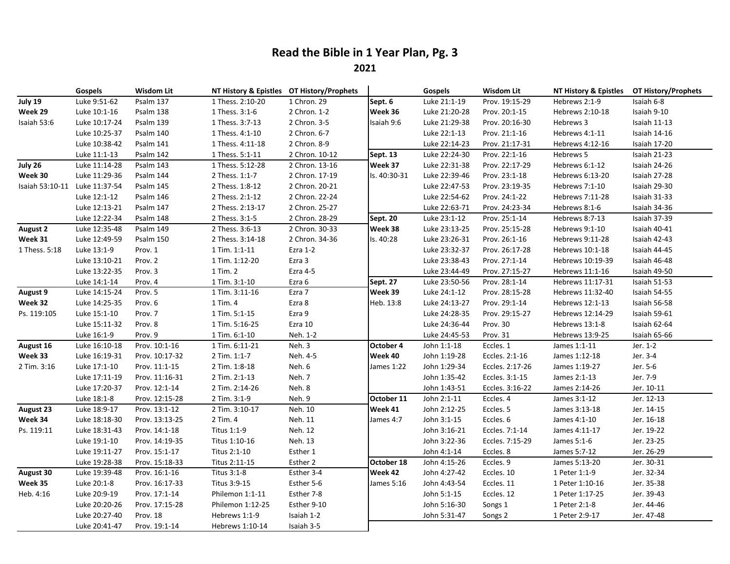## **Read the Bible in 1 Year Plan, Pg. 3**

**2021**

|                               | <b>Gospels</b> | <b>Wisdom Lit</b> |                  | NT History & Epistles OT History/Prophets |                   | Gospels       | <b>Wisdom Lit</b> | NT History & Epistles  OT History/Prophets |              |
|-------------------------------|----------------|-------------------|------------------|-------------------------------------------|-------------------|---------------|-------------------|--------------------------------------------|--------------|
| July 19                       | Luke 9:51-62   | Psalm 137         | 1 Thess. 2:10-20 | 1 Chron. 29                               | Sept. 6           | Luke 21:1-19  | Prov. 19:15-29    | Hebrews 2:1-9                              | Isaiah 6-8   |
| Week 29                       | Luke 10:1-16   | Psalm 138         | 1 Thess. 3:1-6   | 2 Chron. 1-2                              | Week 36           | Luke 21:20-28 | Prov. 20:1-15     | Hebrews 2:10-18                            | Isaiah 9-10  |
| Isaiah 53:6                   | Luke 10:17-24  | Psalm 139         | 1 Thess. 3:7-13  | 2 Chron. 3-5                              | Isaiah 9:6        | Luke 21:29-38 | Prov. 20:16-30    | Hebrews 3                                  | Isaiah 11-13 |
|                               | Luke 10:25-37  | Psalm 140         | 1 Thess. 4:1-10  | 2 Chron. 6-7                              |                   | Luke 22:1-13  | Prov. 21:1-16     | Hebrews 4:1-11                             | Isaiah 14-16 |
|                               | Luke 10:38-42  | Psalm 141         | 1 Thess. 4:11-18 | 2 Chron. 8-9                              |                   | Luke 22:14-23 | Prov. 21:17-31    | Hebrews 4:12-16                            | Isaiah 17-20 |
|                               | Luke 11:1-13   | Psalm 142         | 1 Thess. 5:1-11  | 2 Chron. 10-12                            | Sept. 13          | Luke 22:24-30 | Prov. 22:1-16     | Hebrews 5                                  | Isaiah 21-23 |
| July 26                       | Luke 11:14-28  | Psalm 143         | 1 Thess. 5:12-28 | 2 Chron. 13-16                            | Week 37           | Luke 22:31-38 | Prov. 22:17-29    | Hebrews 6:1-12                             | Isaiah 24-26 |
| Week 30                       | Luke 11:29-36  | Psalm 144         | 2 Thess. 1:1-7   | 2 Chron. 17-19                            | Is. 40:30-31      | Luke 22:39-46 | Prov. 23:1-18     | Hebrews 6:13-20                            | Isaiah 27-28 |
| Isaiah 53:10-11 Luke 11:37-54 |                | Psalm 145         | 2 Thess. 1:8-12  | 2 Chron. 20-21                            |                   | Luke 22:47-53 | Prov. 23:19-35    | Hebrews 7:1-10                             | Isaiah 29-30 |
|                               | Luke 12:1-12   | Psalm 146         | 2 Thess. 2:1-12  | 2 Chron. 22-24                            |                   | Luke 22:54-62 | Prov. 24:1-22     | Hebrews 7:11-28                            | Isaiah 31-33 |
|                               | Luke 12:13-21  | Psalm 147         | 2 Thess. 2:13-17 | 2 Chron. 25-27                            |                   | Luke 22:63-71 | Prov. 24:23-34    | Hebrews 8:1-6                              | Isaiah 34-36 |
|                               | Luke 12:22-34  | Psalm 148         | 2 Thess. 3:1-5   | 2 Chron. 28-29                            | Sept. 20          | Luke 23:1-12  | Prov. 25:1-14     | Hebrews 8:7-13                             | Isaiah 37-39 |
| <b>August 2</b>               | Luke 12:35-48  | Psalm 149         | 2 Thess. 3:6-13  | 2 Chron. 30-33                            | Week 38           | Luke 23:13-25 | Prov. 25:15-28    | Hebrews 9:1-10                             | Isaiah 40-41 |
| Week 31                       | Luke 12:49-59  | Psalm 150         | 2 Thess. 3:14-18 | 2 Chron. 34-36                            | Is. 40:28         | Luke 23:26-31 | Prov. 26:1-16     | Hebrews 9:11-28                            | Isaiah 42-43 |
| 1 Thess. 5:18                 | Luke 13:1-9    | Prov. 1           | 1 Tim. 1:1-11    | Ezra 1-2                                  |                   | Luke 23:32-37 | Prov. 26:17-28    | Hebrews 10:1-18                            | Isaiah 44-45 |
|                               | Luke 13:10-21  | Prov. 2           | 1 Tim. 1:12-20   | Ezra 3                                    |                   | Luke 23:38-43 | Prov. 27:1-14     | Hebrews 10:19-39                           | Isaiah 46-48 |
|                               | Luke 13:22-35  | Prov. 3           | 1 Tim. 2         | Ezra 4-5                                  |                   | Luke 23:44-49 | Prov. 27:15-27    | Hebrews 11:1-16                            | Isaiah 49-50 |
|                               | Luke 14:1-14   | Prov. 4           | 1 Tim. 3:1-10    | Ezra 6                                    | <b>Sept. 27</b>   | Luke 23:50-56 | Prov. 28:1-14     | Hebrews 11:17-31                           | Isaiah 51-53 |
| August 9                      | Luke 14:15-24  | Prov. 5           | 1 Tim. 3:11-16   | Ezra 7                                    | Week 39           | Luke 24:1-12  | Prov. 28:15-28    | Hebrews 11:32-40                           | Isaiah 54-55 |
| Week 32                       | Luke 14:25-35  | Prov. 6           | 1 Tim. 4         | Ezra 8                                    | Heb. 13:8         | Luke 24:13-27 | Prov. 29:1-14     | Hebrews 12:1-13                            | Isaiah 56-58 |
| Ps. 119:105                   | Luke 15:1-10   | Prov. 7           | 1 Tim. 5:1-15    | Ezra 9                                    |                   | Luke 24:28-35 | Prov. 29:15-27    | Hebrews 12:14-29                           | Isaiah 59-61 |
|                               | Luke 15:11-32  | Prov. 8           | 1 Tim. 5:16-25   | Ezra 10                                   |                   | Luke 24:36-44 | Prov. 30          | Hebrews 13:1-8                             | Isaiah 62-64 |
|                               | Luke 16:1-9    | Prov. 9           | 1 Tim. 6:1-10    | Neh. 1-2                                  |                   | Luke 24:45-53 | Prov. 31          | Hebrews 13:9-25                            | Isaiah 65-66 |
| August 16                     | Luke 16:10-18  | Prov. 10:1-16     | 1 Tim. 6:11-21   | Neh. 3                                    | October 4         | John 1:1-18   | Eccles. 1         | James 1:1-11                               | Jer. 1-2     |
| Week 33                       | Luke 16:19-31  | Prov. 10:17-32    | 2 Tim. 1:1-7     | Neh. 4-5                                  | Week 40           | John 1:19-28  | Eccles. 2:1-16    | James 1:12-18                              | Jer. 3-4     |
| 2 Tim. 3:16                   | Luke 17:1-10   | Prov. 11:1-15     | 2 Tim. 1:8-18    | Neh. 6                                    | <b>James 1:22</b> | John 1:29-34  | Eccles. 2:17-26   | James 1:19-27                              | Jer. 5-6     |
|                               | Luke 17:11-19  | Prov. 11:16-31    | 2 Tim. 2:1-13    | Neh. 7                                    |                   | John 1:35-42  | Eccles. 3:1-15    | James 2:1-13                               | Jer. 7-9     |
|                               | Luke 17:20-37  | Prov. 12:1-14     | 2 Tim. 2:14-26   | Neh. 8                                    |                   | John 1:43-51  | Eccles. 3:16-22   | James 2:14-26                              | Jer. 10-11   |
|                               | Luke 18:1-8    | Prov. 12:15-28    | 2 Tim. 3:1-9     | Neh. 9                                    | October 11        | John 2:1-11   | Eccles. 4         | James 3:1-12                               | Jer. 12-13   |
| <b>August 23</b>              | Luke 18:9-17   | Prov. 13:1-12     | 2 Tim. 3:10-17   | Neh. 10                                   | Week 41           | John 2:12-25  | Eccles. 5         | James 3:13-18                              | Jer. 14-15   |
| Week 34                       | Luke 18:18-30  | Prov. 13:13-25    | 2 Tim. 4         | Neh. 11                                   | James 4:7         | John 3:1-15   | Eccles. 6         | James 4:1-10                               | Jer. 16-18   |
| Ps. 119:11                    | Luke 18:31-43  | Prov. 14:1-18     | Titus 1:1-9      | Neh. 12                                   |                   | John 3:16-21  | Eccles. 7:1-14    | James 4:11-17                              | Jer. 19-22   |
|                               | Luke 19:1-10   | Prov. 14:19-35    | Titus 1:10-16    | Neh. 13                                   |                   | John 3:22-36  | Eccles. 7:15-29   | James 5:1-6                                | Jer. 23-25   |
|                               | Luke 19:11-27  | Prov. 15:1-17     | Titus 2:1-10     | Esther 1                                  |                   | John 4:1-14   | Eccles. 8         | James 5:7-12                               | Jer. 26-29   |
|                               | Luke 19:28-38  | Prov. 15:18-33    | Titus 2:11-15    | Esther 2                                  | October 18        | John 4:15-26  | Eccles. 9         | James 5:13-20                              | Jer. 30-31   |
| August 30                     | Luke 19:39-48  | Prov. 16:1-16     | Titus 3:1-8      | Esther 3-4                                | Week 42           | John 4:27-42  | Eccles. 10        | 1 Peter 1:1-9                              | Jer. 32-34   |
| Week 35                       | Luke 20:1-8    | Prov. 16:17-33    | Titus 3:9-15     | Esther 5-6                                | <b>James 5:16</b> | John 4:43-54  | Eccles. 11        | 1 Peter 1:10-16                            | Jer. 35-38   |
| Heb. 4:16                     | Luke 20:9-19   | Prov. 17:1-14     | Philemon 1:1-11  | Esther 7-8                                |                   | John 5:1-15   | Eccles. 12        | 1 Peter 1:17-25                            | Jer. 39-43   |
|                               | Luke 20:20-26  | Prov. 17:15-28    | Philemon 1:12-25 | Esther 9-10                               |                   | John 5:16-30  | Songs 1           | 1 Peter 2:1-8                              | Jer. 44-46   |
|                               | Luke 20:27-40  | Prov. 18          | Hebrews 1:1-9    | Isaiah 1-2                                |                   | John 5:31-47  | Songs 2           | 1 Peter 2:9-17                             | Jer. 47-48   |
|                               | Luke 20:41-47  | Prov. 19:1-14     | Hebrews 1:10-14  | Isaiah 3-5                                |                   |               |                   |                                            |              |